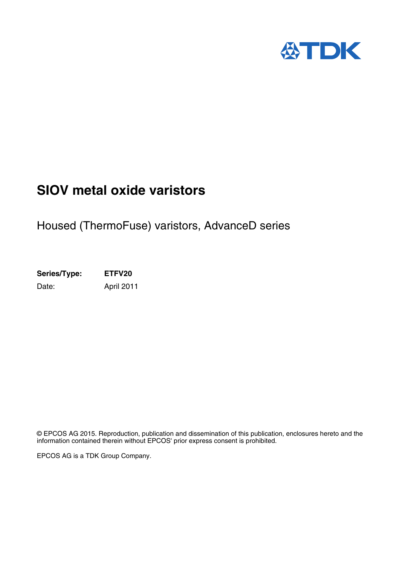

# **SIOV metal oxide varistors**

## Housed (ThermoFuse) varistors, AdvanceD series

**Series/Type: ETFV20** Date: April 2011

© EPCOS AG 2015. Reproduction, publication and dissemination of this publication, enclosures hereto and the information contained therein without EPCOS' prior express consent is prohibited.

EPCOS AG is a TDK Group Company.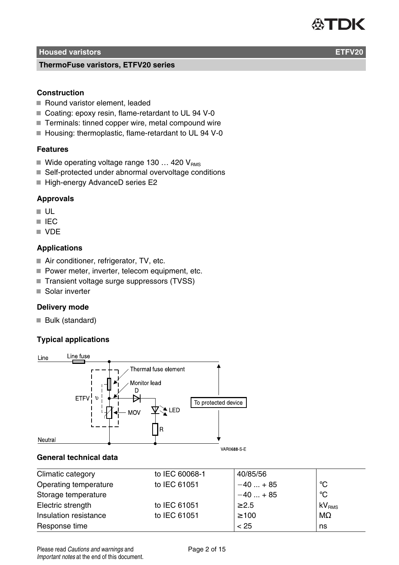

**ThermoFuse varistors, ETFV20 series**

### **Construction**

- Round varistor element, leaded
- Coating: epoxy resin, flame-retardant to UL 94 V-0
- Terminals: tinned copper wire, metal compound wire
- Housing: thermoplastic, flame-retardant to UL 94 V-0

#### **Features**

- Wide operating voltage range 130 ... 420  $V_{RMS}$
- Self-protected under abnormal overvoltage conditions
- High-energy AdvanceD series E2

#### **Approvals**

- $\blacksquare$  ULL.
- **III** IEC
- **N** VDE

#### **Applications**

- Air conditioner, refrigerator, TV, etc.
- Power meter, inverter, telecom equipment, etc.
- Transient voltage surge suppressors (TVSS)
- Solar inverter

### **Delivery mode**

Bulk (standard)

### **Typical applications**



#### **General technical data**

| Climatic category     | to IEC 60068-1 | 40/85/56   |                   |
|-----------------------|----------------|------------|-------------------|
| Operating temperature | to IEC 61051   | $-40+85$   | °C                |
| Storage temperature   |                | $-40+85$   | $^{\circ}$ C      |
| Electric strength     | to IEC 61051   | $\geq 2.5$ | kV <sub>RMS</sub> |
| Insulation resistance | to IEC 61051   | $\geq 100$ | $M\Omega$         |
| Response time         |                | < 25       | ns                |

Please read Cautions and warnings and Page 2 of 15 Important notes at the end of this document.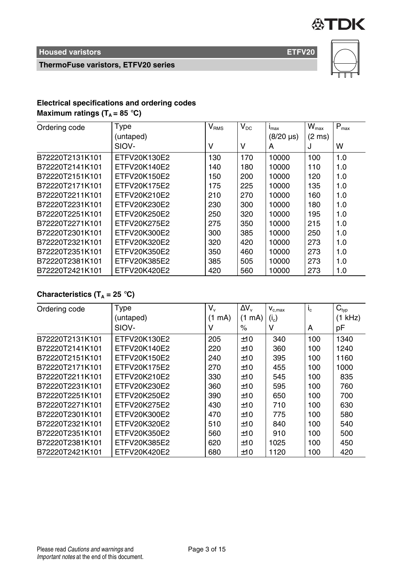

**ThermoFuse varistors, ETFV20 series**



### **Electrical specifications and ordering codes**

**Maximum ratings (** $T_A = 85$  **°C)** 

| Ordering code   | Type         | $V_{RMS}$ | $V_{DC}$ | $I_{\text{max}}$             | $W_{\text{max}}$ | $P_{\text{max}}$ |
|-----------------|--------------|-----------|----------|------------------------------|------------------|------------------|
|                 | (untaped)    |           |          | $(8/20 \text{ }\mu\text{s})$ | (2 ms)           |                  |
|                 | SIOV-        | v         | ν        | А                            | J                | w                |
| B72220T2131K101 | ETFV20K130E2 | 130       | 170      | 10000                        | 100              | 1.0              |
| B72220T2141K101 | ETFV20K140E2 | 140       | 180      | 10000                        | 110              | 1.0              |
| B72220T2151K101 | ETFV20K150E2 | 150       | 200      | 10000                        | 120              | 1.0              |
| B72220T2171K101 | ETFV20K175E2 | 175       | 225      | 10000                        | 135              | 1.0              |
| B72220T2211K101 | FTFV20K210F2 | 210       | 270      | 10000                        | 160              | 1.0              |
| B72220T2231K101 | ETFV20K230E2 | 230       | 300      | 10000                        | 180              | 1.0              |
| B72220T2251K101 | ETFV20K250E2 | 250       | 320      | 10000                        | 195              | 1.0              |
| B72220T2271K101 | ETFV20K275E2 | 275       | 350      | 10000                        | 215              | 1.0              |
| B72220T2301K101 | ETFV20K300E2 | 300       | 385      | 10000                        | 250              | 1.0              |
| B72220T2321K101 | ETFV20K320E2 | 320       | 420      | 10000                        | 273              | 1.0              |
| B72220T2351K101 | ETFV20K350E2 | 350       | 460      | 10000                        | 273              | 1.0              |
| B72220T2381K101 | ETFV20K385E2 | 385       | 505      | 10000                        | 273              | 1.0              |
| B72220T2421K101 | ETFV20K420E2 | 420       | 560      | 10000                        | 273              | 1.0              |

### **Characteristics (T<sup>A</sup> = 25** °**C)**

| Ordering code   | Type         | V.        | $\Delta V_{\rm v}$ | $V_{c,max}$ | $I_c$ | $C_{typ}$  |
|-----------------|--------------|-----------|--------------------|-------------|-------|------------|
|                 | (untaped)    | (1<br>mA) | $(1 \text{ mA})$   | $(i_{c})$   |       | kHz)<br>(1 |
|                 | SIOV-        | v         | %                  | ν           | A     | рF         |
| B72220T2131K101 | ETFV20K130E2 | 205       | ±10                | 340         | 100   | 1340       |
| B72220T2141K101 | ETFV20K140E2 | 220       | ±10                | 360         | 100   | 1240       |
| B72220T2151K101 | ETFV20K150E2 | 240       | ±10                | 395         | 100   | 1160       |
| B72220T2171K101 | ETFV20K175E2 | 270       | ±10                | 455         | 100   | 1000       |
| B72220T2211K101 | ETFV20K210E2 | 330       | ±10                | 545         | 100   | 835        |
| B72220T2231K101 | ETFV20K230E2 | 360       | ±10                | 595         | 100   | 760        |
| B72220T2251K101 | ETFV20K250E2 | 390       | ±10                | 650         | 100   | 700        |
| B72220T2271K101 | ETFV20K275E2 | 430       | ±10                | 710         | 100   | 630        |
| B72220T2301K101 | ETFV20K300E2 | 470       | ±10                | 775         | 100   | 580        |
| B72220T2321K101 | ETFV20K320E2 | 510       | ±10                | 840         | 100   | 540        |
| B72220T2351K101 | ETFV20K350E2 | 560       | ±10                | 910         | 100   | 500        |
| B72220T2381K101 | ETFV20K385E2 | 620       | ±10                | 1025        | 100   | 450        |
| B72220T2421K101 | ETFV20K420E2 | 680       | ±10                | 1120        | 100   | 420        |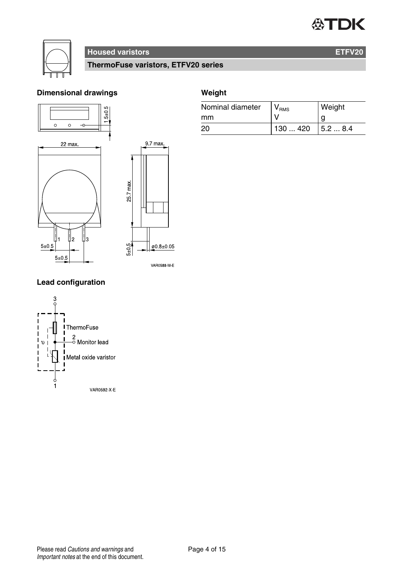# **公丁DK**



### **Housed varistors ETFV20**

**ThermoFuse varistors, ETFV20 series**

### **Dimensional drawings**





### **Weight**

| Nominal diameter | $V_{\rm RMS}$ | Weight  |
|------------------|---------------|---------|
| mm               |               |         |
| 20               | 130  420      | 15.28.4 |



**Lead configuration**

**VAR0592 X E**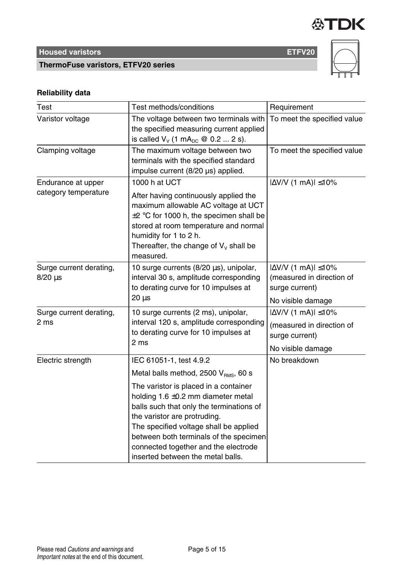

**ThermoFuse varistors, ETFV20 series**



### **Reliability data**

| Test                                       | Test methods/conditions                                                                                                                                                                                                                                                                                                       | Requirement                                                                                          |
|--------------------------------------------|-------------------------------------------------------------------------------------------------------------------------------------------------------------------------------------------------------------------------------------------------------------------------------------------------------------------------------|------------------------------------------------------------------------------------------------------|
| Varistor voltage                           | The voltage between two terminals with<br>the specified measuring current applied<br>is called $V_v$ (1 mA <sub>pc</sub> @ 0.2  2 s).                                                                                                                                                                                         | To meet the specified value                                                                          |
| Clamping voltage                           | The maximum voltage between two<br>terminals with the specified standard<br>impulse current (8/20 µs) applied.                                                                                                                                                                                                                | To meet the specified value                                                                          |
| Endurance at upper<br>category temperature | 1000 h at UCT<br>After having continuously applied the<br>maximum allowable AC voltage at UCT<br>$\pm 2$ °C for 1000 h, the specimen shall be<br>stored at room temperature and normal<br>humidity for 1 to 2 h.<br>Thereafter, the change of $V_v$ shall be<br>measured.                                                     | $ \Delta$ V/V (1 mA) $ \leq$ 10%                                                                     |
| Surge current derating,<br>$8/20 \,\mu s$  | 10 surge currents (8/20 µs), unipolar,<br>interval 30 s, amplitude corresponding<br>to derating curve for 10 impulses at<br>$20 \mu s$                                                                                                                                                                                        | $ \Delta$ V/V (1 mA) $ \leq$ 10%<br>(measured in direction of<br>surge current)<br>No visible damage |
| Surge current derating,<br>2 ms            | 10 surge currents (2 ms), unipolar,<br>interval 120 s, amplitude corresponding<br>to derating curve for 10 impulses at<br>2 <sub>ms</sub>                                                                                                                                                                                     | $ \Delta$ V/V (1 mA) $ \leq$ 10%<br>(measured in direction of<br>surge current)<br>No visible damage |
| Electric strength                          | IEC 61051-1, test 4.9.2<br>Metal balls method, 2500 V <sub>RMS</sub> , 60 s                                                                                                                                                                                                                                                   | No breakdown                                                                                         |
|                                            | The varistor is placed in a container<br>holding $1.6 \pm 0.2$ mm diameter metal<br>balls such that only the terminations of<br>the varistor are protruding.<br>The specified voltage shall be applied<br>between both terminals of the specimen<br>connected together and the electrode<br>inserted between the metal balls. |                                                                                                      |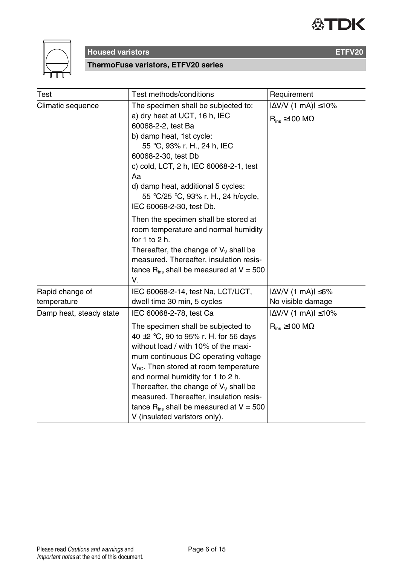



**ThermoFuse varistors, ETFV20 series**

| Test                           | Test methods/conditions                                                                                                                                                                                                                                                                                                               | Requirement                                                       |
|--------------------------------|---------------------------------------------------------------------------------------------------------------------------------------------------------------------------------------------------------------------------------------------------------------------------------------------------------------------------------------|-------------------------------------------------------------------|
| Climatic sequence              | The specimen shall be subjected to:<br>a) dry heat at UCT, 16 h, IEC<br>60068-2-2, test Ba<br>b) damp heat, 1st cycle:<br>55 °C, 93% r. H., 24 h, IEC<br>60068-2-30, test Db<br>c) cold, LCT, 2 h, IEC 60068-2-1, test<br>Aa<br>d) damp heat, additional 5 cycles:<br>55 °C/25 °C, 93% r. H., 24 h/cycle,<br>IEC 60068-2-30, test Db. | $ \Delta V/V$ (1 mA) $ \leq 10\%$<br>$R_{ins} \ge 100$ M $\Omega$ |
|                                | Then the specimen shall be stored at<br>room temperature and normal humidity<br>for 1 to 2 h.<br>Thereafter, the change of $V_v$ shall be<br>measured. Thereafter, insulation resis-<br>tance $R_{ins}$ shall be measured at $V = 500$<br>V.                                                                                          |                                                                   |
| Rapid change of<br>temperature | IEC 60068-2-14, test Na, LCT/UCT,<br>dwell time 30 min, 5 cycles                                                                                                                                                                                                                                                                      | $ \Delta V/V$ (1 mA) $ \leq 5\%$<br>No visible damage             |
| Damp heat, steady state        | IEC 60068-2-78, test Ca                                                                                                                                                                                                                                                                                                               | $ \Delta$ V/V (1 mA) $ \leq$ 10%                                  |
|                                | The specimen shall be subjected to<br>40 $\pm$ 2 °C, 90 to 95% r. H. for 56 days<br>without load / with 10% of the maxi-<br>mum continuous DC operating voltage<br>$V_{\text{nc}}$ . Then stored at room temperature<br>and normal humidity for 1 to 2 h.                                                                             | $R_{ins} \ge 100$ M $\Omega$                                      |

Thereafter, the change of  $V_V$  shall be measured. Thereafter, insulation resistance  $R_{ins}$  shall be measured at  $V = 500$ 

V (insulated varistors only).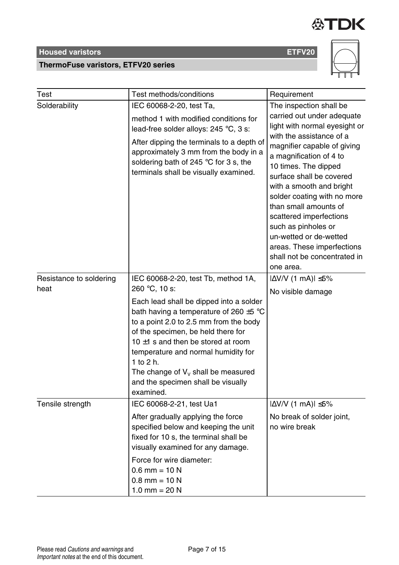### **ThermoFuse varistors, ETFV20 series**

| Test                            | Test methods/conditions                                                                                                                                                                                                                                                                                                                                                                                                      | Requirement                                                                                                                                                                                                                                                                                                                                                                                                                                                                 |
|---------------------------------|------------------------------------------------------------------------------------------------------------------------------------------------------------------------------------------------------------------------------------------------------------------------------------------------------------------------------------------------------------------------------------------------------------------------------|-----------------------------------------------------------------------------------------------------------------------------------------------------------------------------------------------------------------------------------------------------------------------------------------------------------------------------------------------------------------------------------------------------------------------------------------------------------------------------|
| Solderability                   | IEC 60068-2-20, test Ta,<br>method 1 with modified conditions for<br>lead-free solder alloys: 245 °C, 3 s:<br>After dipping the terminals to a depth of<br>approximately 3 mm from the body in a<br>soldering bath of 245 °C for 3 s, the<br>terminals shall be visually examined.                                                                                                                                           | The inspection shall be<br>carried out under adequate<br>light with normal eyesight or<br>with the assistance of a<br>magnifier capable of giving<br>a magnification of 4 to<br>10 times. The dipped<br>surface shall be covered<br>with a smooth and bright<br>solder coating with no more<br>than small amounts of<br>scattered imperfections<br>such as pinholes or<br>un-wetted or de-wetted<br>areas. These imperfections<br>shall not be concentrated in<br>one area. |
| Resistance to soldering<br>heat | IEC 60068-2-20, test Tb, method 1A,<br>260 °C, 10 s:<br>Each lead shall be dipped into a solder<br>bath having a temperature of 260 $\pm$ 5 °C<br>to a point 2.0 to 2.5 mm from the body<br>of the specimen, be held there for<br>10 $\pm$ 1 s and then be stored at room<br>temperature and normal humidity for<br>1 to $2 h$ .<br>The change of $V_v$ shall be measured<br>and the specimen shall be visually<br>examined. | $ \Delta V/V$ (1 mA) $ \leq 5\%$<br>No visible damage                                                                                                                                                                                                                                                                                                                                                                                                                       |
| Tensile strength                | IEC 60068-2-21, test Ua1<br>After gradually applying the force<br>specified below and keeping the unit<br>fixed for 10 s, the terminal shall be<br>visually examined for any damage.                                                                                                                                                                                                                                         | $ \Delta V/V$ (1 mA) $ \leq 5\%$<br>No break of solder joint,<br>no wire break                                                                                                                                                                                                                                                                                                                                                                                              |



**公TDK** 

Force for wire diameter:  $0.6$  mm = 10 N  $0.8$  mm = 10 N 1.0 mm =  $20 N$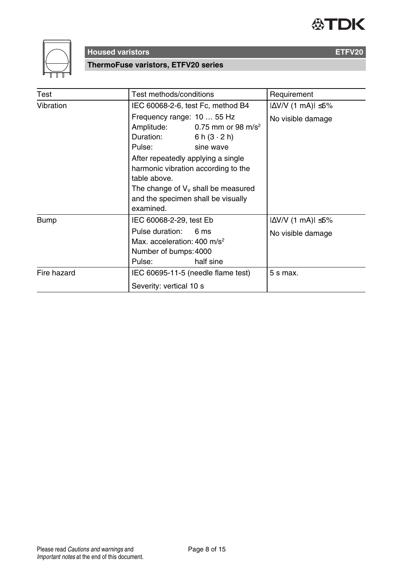



**ThermoFuse varistors, ETFV20 series**

| Test        | Test methods/conditions                                                                                                                                                                                                                                                                                                     | Requirement                                           |
|-------------|-----------------------------------------------------------------------------------------------------------------------------------------------------------------------------------------------------------------------------------------------------------------------------------------------------------------------------|-------------------------------------------------------|
| Vibration   | IEC 60068-2-6, test Fc, method B4                                                                                                                                                                                                                                                                                           |                                                       |
|             | Frequency range: 10  55 Hz<br>Amplitude: $0.75$ mm or 98 m/s <sup>2</sup><br>Duration:<br>6 h $(3 \cdot 2)$ h)<br>Pulse: sine wave<br>After repeatedly applying a single<br>harmonic vibration according to the<br>table above.<br>The change of $V_v$ shall be measured<br>and the specimen shall be visually<br>examined. | No visible damage                                     |
| Bump        | IEC 60068-2-29, test Eb<br>Pulse duration:<br>6 <sub>ms</sub><br>Max. acceleration: $400 \text{ m/s}^2$<br>Number of bumps: 4000<br>half sine<br>Pulse:                                                                                                                                                                     | $ \Delta V/V$ (1 mA) $ \leq 5\%$<br>No visible damage |
| Fire hazard | IEC 60695-11-5 (needle flame test)<br>Severity: vertical 10 s                                                                                                                                                                                                                                                               | $5 s$ max.                                            |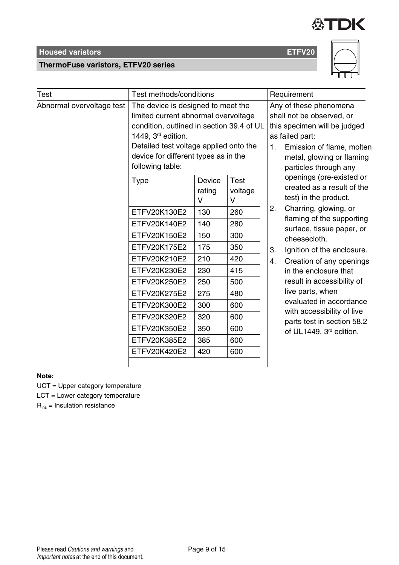

**ThermoFuse varistors, ETFV20 series**



| Test                      | Test methods/conditions                                                                                                                                                                                                                             |                       |                      |    | Requirement                                                                                                                                                                               |
|---------------------------|-----------------------------------------------------------------------------------------------------------------------------------------------------------------------------------------------------------------------------------------------------|-----------------------|----------------------|----|-------------------------------------------------------------------------------------------------------------------------------------------------------------------------------------------|
| Abnormal overvoltage test | The device is designed to meet the<br>limited current abnormal overvoltage<br>condition, outlined in section 39.4 of UL<br>1449, 3rd edition.<br>Detailed test voltage applied onto the<br>device for different types as in the<br>following table: |                       |                      | 1. | Any of these phenomena<br>shall not be observed, or<br>this specimen will be judged<br>as failed part:<br>Emission of flame, molten<br>metal, glowing or flaming<br>particles through any |
|                           | Type                                                                                                                                                                                                                                                | Device<br>rating<br>v | Test<br>voltage<br>v |    | openings (pre-existed or<br>created as a result of the<br>test) in the product.                                                                                                           |
|                           | ETFV20K130E2                                                                                                                                                                                                                                        | 130                   | 260                  | 2. | Charring, glowing, or                                                                                                                                                                     |
|                           | ETFV20K140E2                                                                                                                                                                                                                                        | 140                   | 280                  |    | flaming of the supporting<br>surface, tissue paper, or<br>cheesecloth.                                                                                                                    |
|                           | ETFV20K150E2                                                                                                                                                                                                                                        | 150                   | 300                  |    |                                                                                                                                                                                           |
|                           | ETFV20K175E2                                                                                                                                                                                                                                        | 175                   | 350                  | 3. | Ignition of the enclosure.                                                                                                                                                                |
|                           | ETFV20K210E2                                                                                                                                                                                                                                        | 210                   | 420                  | 4. | Creation of any openings                                                                                                                                                                  |
|                           | ETFV20K230E2                                                                                                                                                                                                                                        | 230                   | 415                  |    | in the enclosure that                                                                                                                                                                     |
|                           | ETFV20K250E2                                                                                                                                                                                                                                        | 250                   | 500                  |    | result in accessibility of                                                                                                                                                                |
|                           | ETFV20K275E2                                                                                                                                                                                                                                        | 275                   | 480                  |    | live parts, when                                                                                                                                                                          |
|                           | ETFV20K300E2                                                                                                                                                                                                                                        | 300                   | 600                  |    | evaluated in accordance                                                                                                                                                                   |
|                           | ETFV20K320E2                                                                                                                                                                                                                                        | 320                   | 600                  |    | with accessibility of live<br>parts test in section 58.2                                                                                                                                  |
|                           | ETFV20K350E2                                                                                                                                                                                                                                        | 350                   | 600                  |    | of UL1449, 3 <sup>rd</sup> edition.                                                                                                                                                       |
|                           | ETFV20K385E2                                                                                                                                                                                                                                        | 385                   | 600                  |    |                                                                                                                                                                                           |
|                           | ETFV20K420E2                                                                                                                                                                                                                                        | 420                   | 600                  |    |                                                                                                                                                                                           |
|                           |                                                                                                                                                                                                                                                     |                       |                      |    |                                                                                                                                                                                           |

### **Note:**

UCT = Upper category temperature

LCT = Lower category temperature

 $R_{ins}$  = Insulation resistance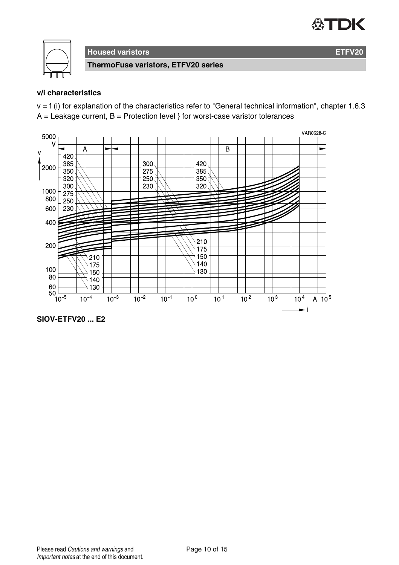# 公TDK



**Housed varistors ETFV20**

**ThermoFuse varistors, ETFV20 series**

### **v/i characteristics**

 $v = f$  (i) for explanation of the characteristics refer to "General technical information", chapter 1.6.3  $A =$  Leakage current,  $B =$  Protection level } for worst-case varistor tolerances



**SIOV-ETFV20 ... E2**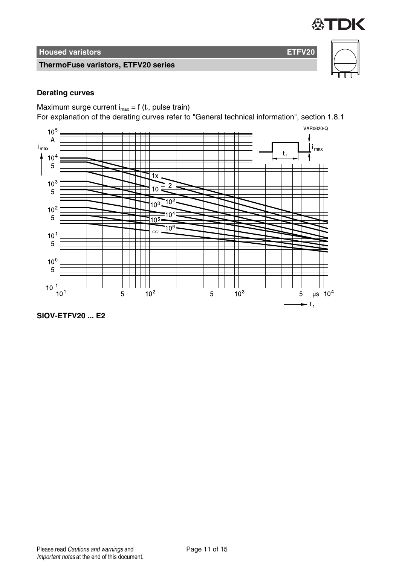

**ThermoFuse varistors, ETFV20 series**

### **Derating curves**

Maximum surge current  $i_{max} = f(t_r)$ , pulse train)

For explanation of the derating curves refer to "General technical information", section 1.8.1



**SIOV-ETFV20 ... E2**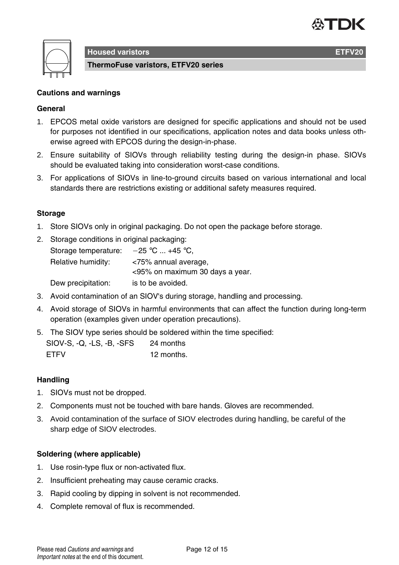

**ThermoFuse varistors, ETFV20 series**

### **Cautions and warnings**

### **General**

- 1. EPCOS metal oxide varistors are designed for specific applications and should not be used for purposes not identified in our specifications, application notes and data books unless otherwise agreed with EPCOS during the design-in-phase.
- 2. Ensure suitability of SIOVs through reliability testing during the design-in phase. SIOVs should be evaluated taking into consideration worst-case conditions.
- 3. For applications of SIOVs in line-to-ground circuits based on various international and local standards there are restrictions existing or additional safety measures required.

### **Storage**

- 1. Store SIOVs only in original packaging. Do not open the package before storage.
- 2. Storage conditions in original packaging:

| Storage temperature: | $-25$ °C  +45 °C.               |
|----------------------|---------------------------------|
| Relative humidity:   | <75% annual average,            |
|                      | <95% on maximum 30 days a year. |
| Dew precipitation:   | is to be avoided.               |

- 3. Avoid contamination of an SIOV's during storage, handling and processing.
- 4. Avoid storage of SIOVs in harmful environments that can affect the function during long-term operation (examples given under operation precautions).
- 5. The SIOV type series should be soldered within the time specified:

| SIOV-S, Q, LS, B, SFS | 24 months  |
|-----------------------|------------|
| <b>FTFV</b>           | 12 months. |

#### **Handling**

- 1. SIOVs must not be dropped.
- 2. Components must not be touched with bare hands. Gloves are recommended.
- 3. Avoid contamination of the surface of SIOV electrodes during handling, be careful of the sharp edge of SIOV electrodes.

#### **Soldering (where applicable)**

- 1. Use rosin-type flux or non-activated flux.
- 2. Insufficient preheating may cause ceramic cracks.
- 3. Rapid cooling by dipping in solvent is not recommended.
- 4. Complete removal of flux is recommended.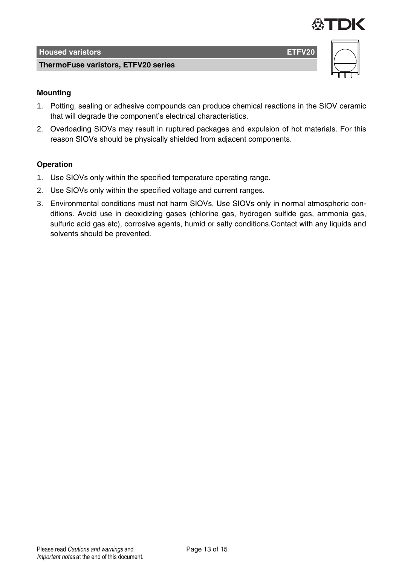

**ThermoFuse varistors, ETFV20 series**





### **Mounting**

- 1. Potting, sealing or adhesive compounds can produce chemical reactions in the SIOV ceramic that will degrade the component's electrical characteristics.
- 2. Overloading SIOVs may result in ruptured packages and expulsion of hot materials. For this reason SIOVs should be physically shielded from adjacent components.

### **Operation**

- 1. Use SIOVs only within the specified temperature operating range.
- 2. Use SIOVs only within the specified voltage and current ranges.
- 3. Environmental conditions must not harm SIOVs. Use SIOVs only in normal atmospheric conditions. Avoid use in deoxidizing gases (chlorine gas, hydrogen sulfide gas, ammonia gas, sulfuric acid gas etc), corrosive agents, humid or salty conditions.Contact with any liquids and solvents should be prevented.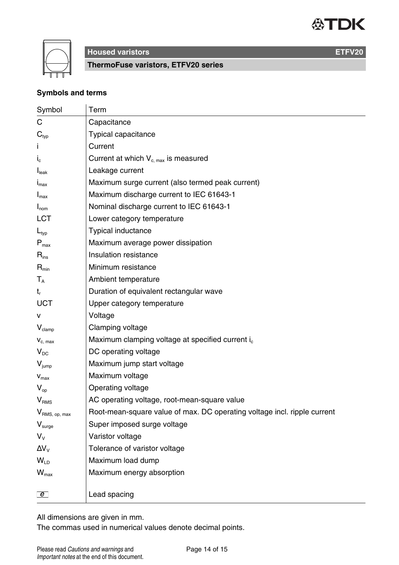



**ThermoFuse varistors, ETFV20 series**

### **Symbols and terms**

| Symbol                    | Term                                                                     |
|---------------------------|--------------------------------------------------------------------------|
| С                         | Capacitance                                                              |
| $\mathbf{C}_{\text{typ}}$ | Typical capacitance                                                      |
|                           | Current                                                                  |
| $I_c$                     | Current at which $V_{c,max}$ is measured                                 |
| I <sub>leak</sub>         | Leakage current                                                          |
| $I_{\text{max}}$          | Maximum surge current (also termed peak current)                         |
| $I_{\text{max}}$          | Maximum discharge current to IEC 61643-1                                 |
| $I_{nom}$                 | Nominal discharge current to IEC 61643-1                                 |
| LCT                       | Lower category temperature                                               |
| $L_{typ}$                 | Typical inductance                                                       |
| $P_{\text{max}}$          | Maximum average power dissipation                                        |
| $R_{ins}$                 | Insulation resistance                                                    |
| $R_{\text{min}}$          | Minimum resistance                                                       |
| $T_{\rm A}$               | Ambient temperature                                                      |
| t,                        | Duration of equivalent rectangular wave                                  |
| UCT                       | Upper category temperature                                               |
| v                         | Voltage                                                                  |
| $V_{\text{clamp}}$        | Clamping voltage                                                         |
| $V_{c, max}$              | Maximum clamping voltage at specified current i <sub>c</sub>             |
| $V_{DC}$                  | DC operating voltage                                                     |
| $V_{\text{jump}}$         | Maximum jump start voltage                                               |
| $V_{max}$                 | Maximum voltage                                                          |
| $V_{\text{on}}$           | Operating voltage                                                        |
| V <sub>RMS</sub>          | AC operating voltage, root-mean-square value                             |
| V <sub>RMS, op, max</sub> | Root-mean-square value of max. DC operating voltage incl. ripple current |
| V <sub>sure</sub>         | Super imposed surge voltage                                              |
| $V_{\rm v}$               | Varistor voltage                                                         |
| $\Delta V_{V}$            | Tolerance of varistor voltage                                            |
| $W_{\text{ID}}$           | Maximum load dump                                                        |
| $W_{\text{max}}$          | Maximum energy absorption                                                |
|                           |                                                                          |
| $\boxed{e}$               | Lead spacing                                                             |

All dimensions are given in mm.

The commas used in numerical values denote decimal points.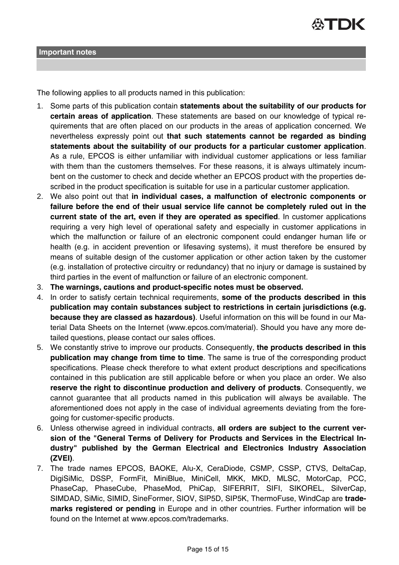The following applies to all products named in this publication:

- 1. Some parts of this publication contain **statements about the suitability of our products for certain areas of application**. These statements are based on our knowledge of typical requirements that are often placed on our products in the areas of application concerned. We nevertheless expressly point out **that such statements cannot be regarded as binding statements about the suitability of our products for a particular customer application**. As a rule, EPCOS is either unfamiliar with individual customer applications or less familiar with them than the customers themselves. For these reasons, it is always ultimately incumbent on the customer to check and decide whether an EPCOS product with the properties described in the product specification is suitable for use in a particular customer application.
- 2. We also point out that **in individual cases, a malfunction of electronic components or failure before the end of their usual service life cannot be completely ruled out in the current state of the art, even if they are operated as specified**. In customer applications requiring a very high level of operational safety and especially in customer applications in which the malfunction or failure of an electronic component could endanger human life or health (e.g. in accident prevention or lifesaving systems), it must therefore be ensured by means of suitable design of the customer application or other action taken by the customer (e.g. installation of protective circuitry or redundancy) that no injury or damage is sustained by third parties in the event of malfunction or failure of an electronic component.
- 3. **The warnings, cautions and product-specific notes must be observed.**
- 4. In order to satisfy certain technical requirements, **some of the products described in this publication may contain substances subject to restrictions in certain jurisdictions (e.g. because they are classed as hazardous)**. Useful information on this will be found in our Material Data Sheets on the Internet (www.epcos.com/material). Should you have any more detailed questions, please contact our sales offices.
- 5. We constantly strive to improve our products. Consequently, **the products described in this publication may change from time to time**. The same is true of the corresponding product specifications. Please check therefore to what extent product descriptions and specifications contained in this publication are still applicable before or when you place an order. We also **reserve the right to discontinue production and delivery of products**. Consequently, we cannot guarantee that all products named in this publication will always be available. The aforementioned does not apply in the case of individual agreements deviating from the foregoing for customer-specific products.
- 6. Unless otherwise agreed in individual contracts, **all orders are subject to the current version of the "General Terms of Delivery for Products and Services in the Electrical Industry" published by the German Electrical and Electronics Industry Association (ZVEI)**.
- 7. The trade names EPCOS, BAOKE, Alu-X, CeraDiode, CSMP, CSSP, CTVS, DeltaCap, DigiSiMic, DSSP, FormFit, MiniBlue, MiniCell, MKK, MKD, MLSC, MotorCap, PCC, PhaseCap, PhaseCube, PhaseMod, PhiCap, SIFERRIT, SIFI, SIKOREL, SilverCap, SIMDAD, SiMic, SIMID, SineFormer, SIOV, SIP5D, SIP5K, ThermoFuse, WindCap are **trademarks registered or pending** in Europe and in other countries. Further information will be found on the Internet at www.epcos.com/trademarks.